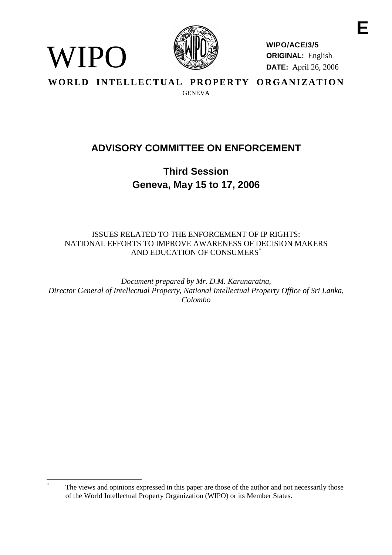

WIPO

**WIPO/ACE/3/5 ORIGINAL:** English **DATE:** April 26, 2006

WORLD INTELLECTUAL PROPERTY ORGANIZATION **GENEVA** 

# **ADVISORY COMMITTEE ON ENFORCEMENT**

**Third Session Geneva, May 15 to 17, 2006**

# ISSUES RELATED TO THE ENFORCEMENT OF IP RIGHTS: NATIONAL EFFORTS TO IMPROVE AWARENESS OF DECISION MAKERS AND EDUCATION OF CONSUMERS\*

*Document prepared by Mr. D.M. Karunaratna, Director General of Intellectual Property, National Intellectual Property Office of Sri Lanka, Colombo*

The views and opinions expressed in this paper are those of the author and not necessarily those of the World Intellectual Property Organization (WIPO) or its Member States.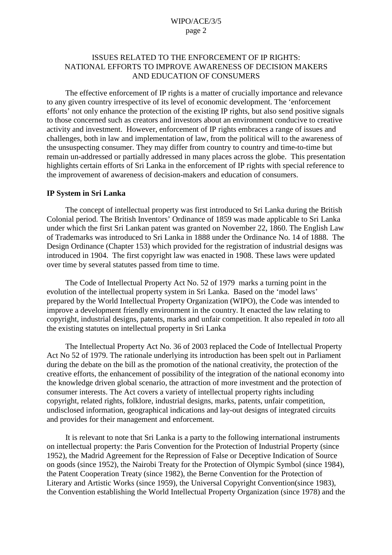# ISSUES RELATED TO THE ENFORCEMENT OF IP RIGHTS: NATIONAL EFFORTS TO IMPROVE AWARENESS OF DECISION MAKERS AND EDUCATION OF CONSUMERS

The effective enforcement of IP rights is a matter of crucially importance and relevance to any given country irrespective of its level of economic development. The 'enforcement efforts' not only enhance the protection of the existing IP rights, but also send positive signals to those concerned such as creators and investors about an environment conducive to creative activity and investment. However, enforcement of IP rights embraces a range of issues and challenges, both in law and implementation of law, from the political will to the awareness of the unsuspecting consumer. They may differ from country to country and time-to-time but remain un-addressed or partially addressed in many places across the globe. This presentation highlights certain efforts of Sri Lanka in the enforcement of IP rights with special reference to the improvement of awareness of decision-makers and education of consumers.

#### **IP System in Sri Lanka**

The concept of intellectual property was first introduced to Sri Lanka during the British Colonial period. The British Inventors' Ordinance of 1859 was made applicable to Sri Lanka under which the first Sri Lankan patent was granted on November 22, 1860. The English Law of Trademarks was introduced to Sri Lanka in 1888 under the Ordinance No. 14 of 1888. The Design Ordinance (Chapter 153) which provided for the registration of industrial designs was introduced in 1904. The first copyright law was enacted in 1908. These laws were updated over time by several statutes passed from time to time.

The Code of Intellectual Property Act No. 52 of 1979 marks a turning point in the evolution of the intellectual property system in Sri Lanka. Based on the 'model laws' prepared by the World Intellectual Property Organization (WIPO), the Code was intended to improve a development friendly environment in the country. It enacted the law relating to copyright, industrial designs, patents, marks and unfair competition. It also repealed *in toto* all the existing statutes on intellectual property in Sri Lanka

The Intellectual Property Act No. 36 of 2003 replaced the Code of Intellectual Property Act No 52 of 1979. The rationale underlying its introduction has been spelt out in Parliament during the debate on the bill as the promotion of the national creativity, the protection of the creative efforts, the enhancement of possibility of the integration of the national economy into the knowledge driven global scenario, the attraction of more investment and the protection of consumer interests. The Act covers a variety of intellectual property rights including copyright, related rights, folklore, industrial designs, marks, patents, unfair competition, undisclosed information, geographical indications and lay-out designs of integrated circuits and provides for their management and enforcement.

It is relevant to note that Sri Lanka is a party to the following international instruments on intellectual property: the Paris Convention for the Protection of Industrial Property (since 1952), the Madrid Agreement for the Repression of False or Deceptive Indication of Source on goods (since 1952), the Nairobi Treaty for the Protection of Olympic Symbol (since 1984), the Patent Cooperation Treaty (since 1982), the Berne Convention for the Protection of Literary and Artistic Works (since 1959), the Universal Copyright Convention(since 1983), the Convention establishing the World Intellectual Property Organization (since 1978) and the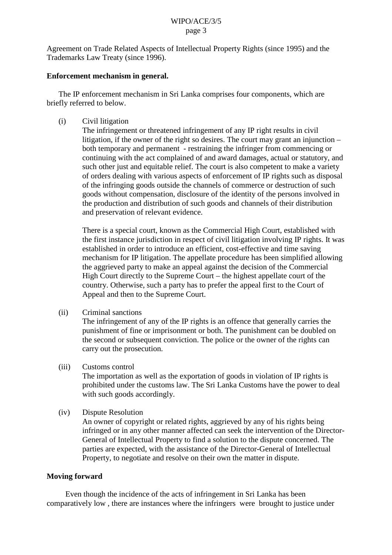Agreement on Trade Related Aspects of Intellectual Property Rights (since 1995) and the Trademarks Law Treaty (since 1996).

## **Enforcement mechanism in general.**

The IP enforcement mechanism in Sri Lanka comprises four components, which are briefly referred to below.

(i) Civil litigation

The infringement or threatened infringement of any IP right results in civil litigation, if the owner of the right so desires. The court may grant an injunction – both temporary and permanent - restraining the infringer from commencing or continuing with the act complained of and award damages, actual or statutory, and such other just and equitable relief. The court is also competent to make a variety of orders dealing with various aspects of enforcement of IP rights such as disposal of the infringing goods outside the channels of commerce or destruction of such goods without compensation, disclosure of the identity of the persons involved in the production and distribution of such goods and channels of their distribution and preservation of relevant evidence.

There is a special court, known as the Commercial High Court, established with the first instance jurisdiction in respect of civil litigation involving IP rights. It was established in order to introduce an efficient, cost-effective and time saving mechanism for IP litigation. The appellate procedure has been simplified allowing the aggrieved party to make an appeal against the decision of the Commercial High Court directly to the Supreme Court – the highest appellate court of the country. Otherwise, such a party has to prefer the appeal first to the Court of Appeal and then to the Supreme Court.

(ii) Criminal sanctions

The infringement of any of the IP rights is an offence that generally carries the punishment of fine or imprisonment or both. The punishment can be doubled on the second or subsequent conviction. The police or the owner of the rights can carry out the prosecution.

(iii) Customs control

The importation as well as the exportation of goods in violation of IP rights is prohibited under the customs law. The Sri Lanka Customs have the power to deal with such goods accordingly.

(iv) Dispute Resolution

An owner of copyright or related rights, aggrieved by any of his rights being infringed or in any other manner affected can seek the intervention of the Director-General of Intellectual Property to find a solution to the dispute concerned. The parties are expected, with the assistance of the Director-General of Intellectual Property, to negotiate and resolve on their own the matter in dispute.

# **Moving forward**

Even though the incidence of the acts of infringement in Sri Lanka has been comparatively low , there are instances where the infringers were brought to justice under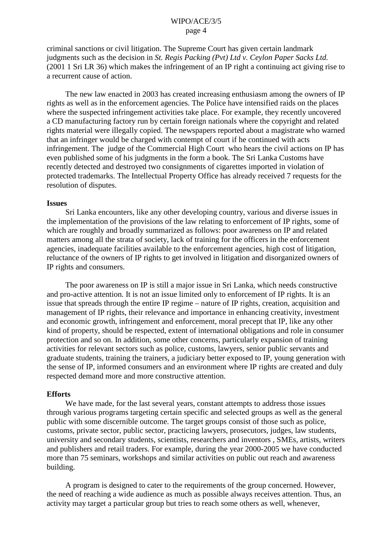criminal sanctions or civil litigation. The Supreme Court has given certain landmark judgments such as the decision in *St. Regis Packing (Pvt) Ltd v. Ceylon Paper Sacks Ltd.* (2001 1 Sri LR 36) which makes the infringement of an IP right a continuing act giving rise to a recurrent cause of action.

The new law enacted in 2003 has created increasing enthusiasm among the owners of IP rights as well as in the enforcement agencies. The Police have intensified raids on the places where the suspected infringement activities take place. For example, they recently uncovered a CD manufacturing factory run by certain foreign nationals where the copyright and related rights material were illegally copied. The newspapers reported about a magistrate who warned that an infringer would be charged with contempt of court if he continued with acts infringement. The judge of the Commercial High Court who hears the civil actions on IP has even published some of his judgments in the form a book. The Sri Lanka Customs have recently detected and destroyed two consignments of cigarettes imported in violation of protected trademarks. The Intellectual Property Office has already received 7 requests for the resolution of disputes.

#### **Issues**

Sri Lanka encounters, like any other developing country, various and diverse issues in the implementation of the provisions of the law relating to enforcement of IP rights, some of which are roughly and broadly summarized as follows: poor awareness on IP and related matters among all the strata of society, lack of training for the officers in the enforcement agencies, inadequate facilities available to the enforcement agencies, high cost of litigation, reluctance of the owners of IP rights to get involved in litigation and disorganized owners of IP rights and consumers.

The poor awareness on IP is still a major issue in Sri Lanka, which needs constructive and pro-active attention. It is not an issue limited only to enforcement of IP rights. It is an issue that spreads through the entire IP regime – nature of IP rights, creation, acquisition and management of IP rights, their relevance and importance in enhancing creativity, investment and economic growth, infringement and enforcement, moral precept that IP, like any other kind of property, should be respected, extent of international obligations and role in consumer protection and so on. In addition, some other concerns, particularly expansion of training activities for relevant sectors such as police, customs, lawyers, senior public servants and graduate students, training the trainers, a judiciary better exposed to IP, young generation with the sense of IP, informed consumers and an environment where IP rights are created and duly respected demand more and more constructive attention.

#### **Efforts**

We have made, for the last several years, constant attempts to address those issues through various programs targeting certain specific and selected groups as well as the general public with some discernible outcome. The target groups consist of those such as police, customs, private sector, public sector, practicing lawyers, prosecutors, judges, law students, university and secondary students, scientists, researchers and inventors , SMEs, artists, writers and publishers and retail traders. For example, during the year 2000-2005 we have conducted more than 75 seminars, workshops and similar activities on public out reach and awareness building.

A program is designed to cater to the requirements of the group concerned. However, the need of reaching a wide audience as much as possible always receives attention. Thus, an activity may target a particular group but tries to reach some others as well, whenever,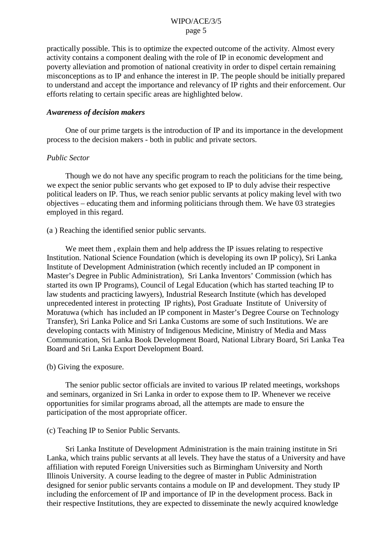practically possible. This is to optimize the expected outcome of the activity. Almost every activity contains a component dealing with the role of IP in economic development and poverty alleviation and promotion of national creativity in order to dispel certain remaining misconceptions as to IP and enhance the interest in IP. The people should be initially prepared to understand and accept the importance and relevancy of IP rights and their enforcement. Our efforts relating to certain specific areas are highlighted below.

#### *Awareness of decision makers*

One of our prime targets is the introduction of IP and its importance in the development process to the decision makers - both in public and private sectors.

## *Public Sector*

Though we do not have any specific program to reach the politicians for the time being, we expect the senior public servants who get exposed to IP to duly advise their respective political leaders on IP. Thus, we reach senior public servants at policy making level with two objectives – educating them and informing politicians through them. We have 03 strategies employed in this regard.

#### (a ) Reaching the identified senior public servants.

We meet them, explain them and help address the IP issues relating to respective Institution. National Science Foundation (which is developing its own IP policy), Sri Lanka Institute of Development Administration (which recently included an IP component in Master's Degree in Public Administration), Sri Lanka Inventors' Commission (which has started its own IP Programs), Council of Legal Education (which has started teaching IP to law students and practicing lawyers), Industrial Research Institute (which has developed unprecedented interest in protecting IP rights), Post Graduate Institute of University of Moratuwa (which has included an IP component in Master's Degree Course on Technology Transfer), Sri Lanka Police and Sri Lanka Customs are some of such Institutions. We are developing contacts with Ministry of Indigenous Medicine, Ministry of Media and Mass Communication, Sri Lanka Book Development Board, National Library Board, Sri Lanka Tea Board and Sri Lanka Export Development Board.

## (b) Giving the exposure.

The senior public sector officials are invited to various IP related meetings, workshops and seminars, organized in Sri Lanka in order to expose them to IP. Whenever we receive opportunities for similar programs abroad, all the attempts are made to ensure the participation of the most appropriate officer.

## (c) Teaching IP to Senior Public Servants.

Sri Lanka Institute of Development Administration is the main training institute in Sri Lanka, which trains public servants at all levels. They have the status of a University and have affiliation with reputed Foreign Universities such as Birmingham University and North Illinois University. A course leading to the degree of master in Public Administration designed for senior public servants contains a module on IP and development. They study IP including the enforcement of IP and importance of IP in the development process. Back in their respective Institutions, they are expected to disseminate the newly acquired knowledge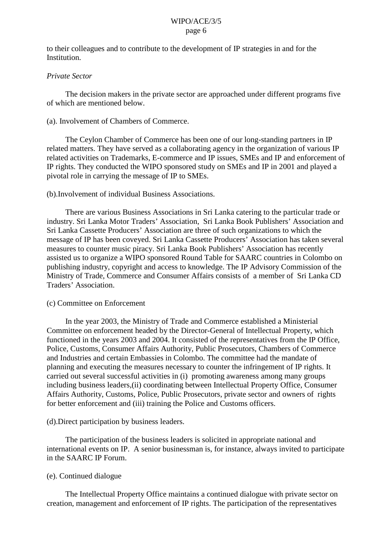to their colleagues and to contribute to the development of IP strategies in and for the Institution.

# *Private Sector*

The decision makers in the private sector are approached under different programs five of which are mentioned below.

# (a). Involvement of Chambers of Commerce.

The Ceylon Chamber of Commerce has been one of our long-standing partners in IP related matters. They have served as a collaborating agency in the organization of various IP related activities on Trademarks, E-commerce and IP issues, SMEs and IP and enforcement of IP rights. They conducted the WIPO sponsored study on SMEs and IP in 2001 and played a pivotal role in carrying the message of IP to SMEs.

## (b).Involvement of individual Business Associations.

There are various Business Associations in Sri Lanka catering to the particular trade or industry. Sri Lanka Motor Traders' Association, Sri Lanka Book Publishers' Association and Sri Lanka Cassette Producers' Association are three of such organizations to which the message of IP has been coveyed. Sri Lanka Cassette Producers' Association has taken several measures to counter music piracy. Sri Lanka Book Publishers' Association has recently assisted us to organize a WIPO sponsored Round Table for SAARC countries in Colombo on publishing industry, copyright and access to knowledge. The IP Advisory Commission of the Ministry of Trade, Commerce and Consumer Affairs consists of a member of Sri Lanka CD Traders' Association.

## (c) Committee on Enforcement

In the year 2003, the Ministry of Trade and Commerce established a Ministerial Committee on enforcement headed by the Director-General of Intellectual Property, which functioned in the years 2003 and 2004. It consisted of the representatives from the IP Office, Police, Customs, Consumer Affairs Authority, Public Prosecutors, Chambers of Commerce and Industries and certain Embassies in Colombo. The committee had the mandate of planning and executing the measures necessary to counter the infringement of IP rights. It carried out several successful activities in (i) promoting awareness among many groups including business leaders,(ii) coordinating between Intellectual Property Office, Consumer Affairs Authority, Customs, Police, Public Prosecutors, private sector and owners of rights for better enforcement and (iii) training the Police and Customs officers.

## (d).Direct participation by business leaders.

The participation of the business leaders is solicited in appropriate national and international events on IP. A senior businessman is, for instance, always invited to participate in the SAARC IP Forum.

## (e). Continued dialogue

The Intellectual Property Office maintains a continued dialogue with private sector on creation, management and enforcement of IP rights. The participation of the representatives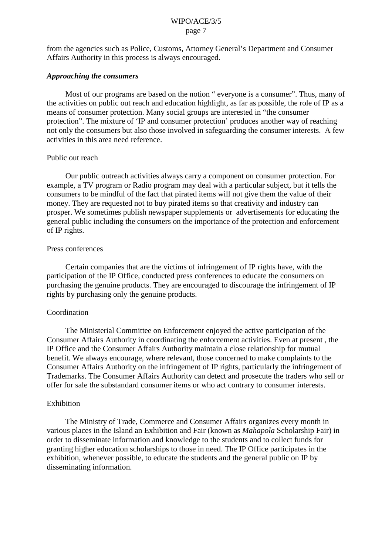from the agencies such as Police, Customs, Attorney General's Department and Consumer Affairs Authority in this process is always encouraged.

#### *Approaching the consumers*

Most of our programs are based on the notion " everyone is a consumer". Thus, many of the activities on public out reach and education highlight, as far as possible, the role of IP as a means of consumer protection. Many social groups are interested in "the consumer protection". The mixture of 'IP and consumer protection' produces another way of reaching not only the consumers but also those involved in safeguarding the consumer interests. A few activities in this area need reference.

#### Public out reach

Our public outreach activities always carry a component on consumer protection. For example, a TV program or Radio program may deal with a particular subject, but it tells the consumers to be mindful of the fact that pirated items will not give them the value of their money. They are requested not to buy pirated items so that creativity and industry can prosper. We sometimes publish newspaper supplements or advertisements for educating the general public including the consumers on the importance of the protection and enforcement of IP rights.

#### Press conferences

Certain companies that are the victims of infringement of IP rights have, with the participation of the IP Office, conducted press conferences to educate the consumers on purchasing the genuine products. They are encouraged to discourage the infringement of IP rights by purchasing only the genuine products.

## Coordination

The Ministerial Committee on Enforcement enjoyed the active participation of the Consumer Affairs Authority in coordinating the enforcement activities. Even at present , the IP Office and the Consumer Affairs Authority maintain a close relationship for mutual benefit. We always encourage, where relevant, those concerned to make complaints to the Consumer Affairs Authority on the infringement of IP rights, particularly the infringement of Trademarks. The Consumer Affairs Authority can detect and prosecute the traders who sell or offer for sale the substandard consumer items or who act contrary to consumer interests.

## Exhibition

The Ministry of Trade, Commerce and Consumer Affairs organizes every month in various places in the Island an Exhibition and Fair (known as *Mahapola* Scholarship Fair) in order to disseminate information and knowledge to the students and to collect funds for granting higher education scholarships to those in need. The IP Office participates in the exhibition, whenever possible, to educate the students and the general public on IP by disseminating information.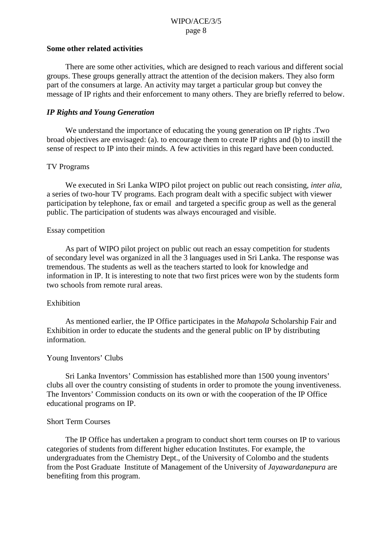#### **Some other related activities**

There are some other activities, which are designed to reach various and different social groups. These groups generally attract the attention of the decision makers. They also form part of the consumers at large. An activity may target a particular group but convey the message of IP rights and their enforcement to many others. They are briefly referred to below.

#### *IP Rights and Young Generation*

We understand the importance of educating the young generation on IP rights .Two broad objectives are envisaged: (a). to encourage them to create IP rights and (b) to instill the sense of respect to IP into their minds. A few activities in this regard have been conducted.

#### TV Programs

We executed in Sri Lanka WIPO pilot project on public out reach consisting, *inter alia,* a series of two-hour TV programs. Each program dealt with a specific subject with viewer participation by telephone, fax or email and targeted a specific group as well as the general public. The participation of students was always encouraged and visible.

#### Essay competition

As part of WIPO pilot project on public out reach an essay competition for students of secondary level was organized in all the 3 languages used in Sri Lanka. The response was tremendous. The students as well as the teachers started to look for knowledge and information in IP. It is interesting to note that two first prices were won by the students form two schools from remote rural areas.

#### Exhibition

As mentioned earlier, the IP Office participates in the *Mahapola* Scholarship Fair and Exhibition in order to educate the students and the general public on IP by distributing information.

#### Young Inventors' Clubs

Sri Lanka Inventors' Commission has established more than 1500 young inventors' clubs all over the country consisting of students in order to promote the young inventiveness. The Inventors' Commission conducts on its own or with the cooperation of the IP Office educational programs on IP.

## Short Term Courses

The IP Office has undertaken a program to conduct short term courses on IP to various categories of students from different higher education Institutes. For example, the undergraduates from the Chemistry Dept., of the University of Colombo and the students from the Post Graduate Institute of Management of the University of *Jayawardanepura* are benefiting from this program.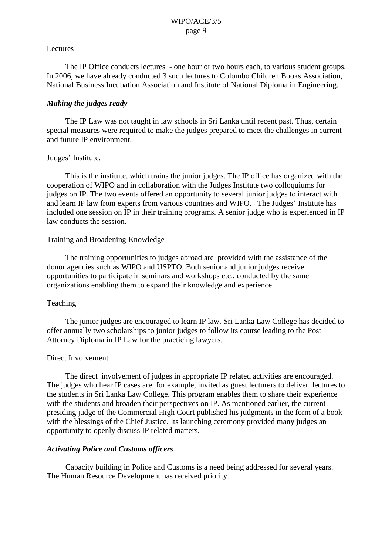#### Lectures

The IP Office conducts lectures - one hour or two hours each, to various student groups. In 2006, we have already conducted 3 such lectures to Colombo Children Books Association, National Business Incubation Association and Institute of National Diploma in Engineering.

# *Making the judges ready*

The IP Law was not taught in law schools in Sri Lanka until recent past. Thus, certain special measures were required to make the judges prepared to meet the challenges in current and future IP environment.

# Judges' Institute.

This is the institute, which trains the junior judges. The IP office has organized with the cooperation of WIPO and in collaboration with the Judges Institute two colloquiums for judges on IP. The two events offered an opportunity to several junior judges to interact with and learn IP law from experts from various countries and WIPO. The Judges' Institute has included one session on IP in their training programs. A senior judge who is experienced in IP law conducts the session.

# Training and Broadening Knowledge

The training opportunities to judges abroad are provided with the assistance of the donor agencies such as WIPO and USPTO. Both senior and junior judges receive opportunities to participate in seminars and workshops etc., conducted by the same organizations enabling them to expand their knowledge and experience.

## Teaching

The junior judges are encouraged to learn IP law. Sri Lanka Law College has decided to offer annually two scholarships to junior judges to follow its course leading to the Post Attorney Diploma in IP Law for the practicing lawyers.

## Direct Involvement

The direct involvement of judges in appropriate IP related activities are encouraged. The judges who hear IP cases are, for example, invited as guest lecturers to deliver lectures to the students in Sri Lanka Law College. This program enables them to share their experience with the students and broaden their perspectives on IP. As mentioned earlier, the current presiding judge of the Commercial High Court published his judgments in the form of a book with the blessings of the Chief Justice. Its launching ceremony provided many judges an opportunity to openly discuss IP related matters.

## *Activating Police and Customs officers*

Capacity building in Police and Customs is a need being addressed for several years. The Human Resource Development has received priority.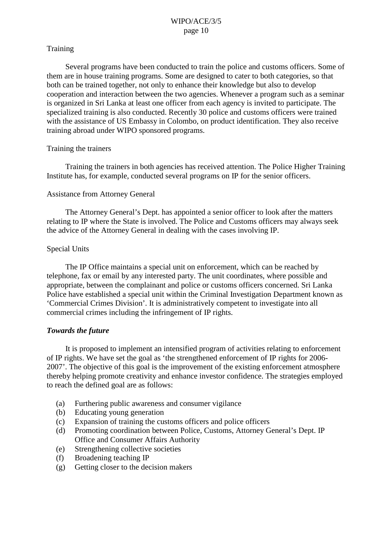# **Training**

Several programs have been conducted to train the police and customs officers. Some of them are in house training programs. Some are designed to cater to both categories, so that both can be trained together, not only to enhance their knowledge but also to develop cooperation and interaction between the two agencies. Whenever a program such as a seminar is organized in Sri Lanka at least one officer from each agency is invited to participate. The specialized training is also conducted. Recently 30 police and customs officers were trained with the assistance of US Embassy in Colombo, on product identification. They also receive training abroad under WIPO sponsored programs.

# Training the trainers

Training the trainers in both agencies has received attention. The Police Higher Training Institute has, for example, conducted several programs on IP for the senior officers.

# Assistance from Attorney General

The Attorney General's Dept. has appointed a senior officer to look after the matters relating to IP where the State is involved. The Police and Customs officers may always seek the advice of the Attorney General in dealing with the cases involving IP.

# Special Units

The IP Office maintains a special unit on enforcement, which can be reached by telephone, fax or email by any interested party. The unit coordinates, where possible and appropriate, between the complainant and police or customs officers concerned. Sri Lanka Police have established a special unit within the Criminal Investigation Department known as 'Commercial Crimes Division'. It is administratively competent to investigate into all commercial crimes including the infringement of IP rights.

## *Towards the future*

It is proposed to implement an intensified program of activities relating to enforcement of IP rights. We have set the goal as 'the strengthened enforcement of IP rights for 2006- 2007'. The objective of this goal is the improvement of the existing enforcement atmosphere thereby helping promote creativity and enhance investor confidence. The strategies employed to reach the defined goal are as follows:

- (a) Furthering public awareness and consumer vigilance
- (b) Educating young generation
- (c) Expansion of training the customs officers and police officers
- (d) Promoting coordination between Police, Customs, Attorney General's Dept. IP Office and Consumer Affairs Authority
- (e) Strengthening collective societies
- (f) Broadening teaching IP
- (g) Getting closer to the decision makers